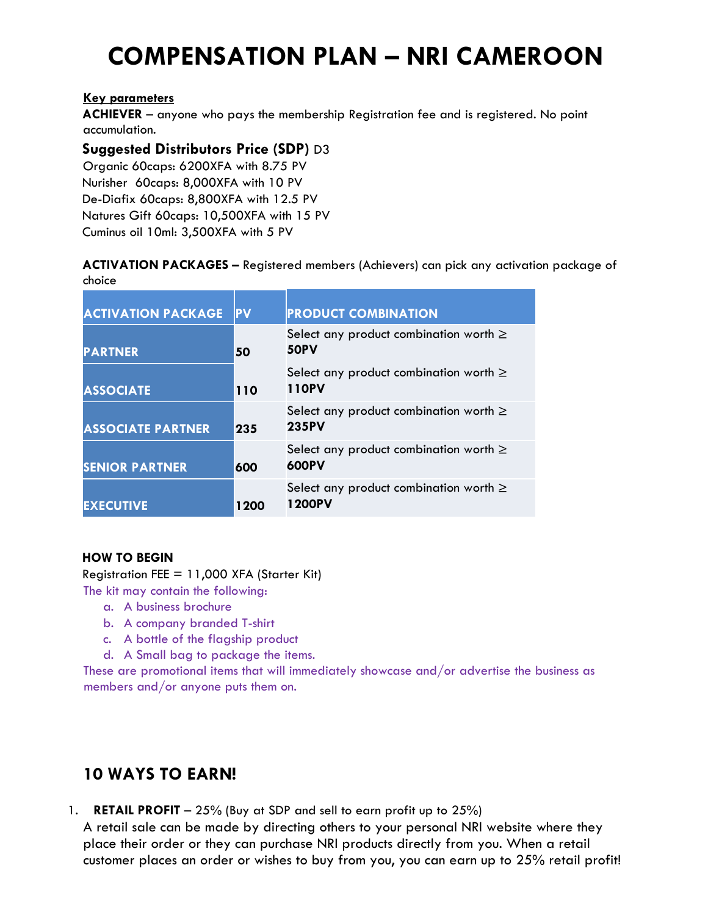# **COMPENSATION PLAN – NRI CAMEROON**

## **Key parameters**

**ACHIEVER** – anyone who pays the membership Registration fee and is registered. No point accumulation.

# **Suggested Distributors Price (SDP)** D3

Organic 60caps: 6200XFA with 8.75 PV Nurisher 60caps: 8,000XFA with 10 PV De-Diafix 60caps: 8,800XFA with 12.5 PV Natures Gift 60caps: 10,500XFA with 15 PV Cuminus oil 10ml: 3,500XFA with 5 PV

## **ACTIVATION PACKAGES –** Registered members (Achievers) can pick any activation package of choice

| <b>ACTIVATION PACKAGE</b> | <b>PV</b> | <b>PRODUCT COMBINATION</b>                                  |
|---------------------------|-----------|-------------------------------------------------------------|
| <b>PARTNER</b>            | 50        | Select any product combination worth $\geq$<br><b>50PV</b>  |
| <b>ASSOCIATE</b>          | 110       | Select any product combination worth $\geq$<br>110PV        |
| <b>ASSOCIATE PARTNER</b>  | 235       | Select any product combination worth $\geq$<br><b>235PV</b> |
| <b>SENIOR PARTNER</b>     | 600       | Select any product combination worth $\geq$<br>600PV        |
| <b>EXECUTIVE</b>          | 1200      | Select any product combination worth $\geq$<br>1200PV       |

## **HOW TO BEGIN**

Registration FEE  $= 11,000$  XFA (Starter Kit)

- The kit may contain the following:
	- a. A business brochure
	- b. A company branded T-shirt
	- c. A bottle of the flagship product
	- d. A Small bag to package the items.

These are promotional items that will immediately showcase and/or advertise the business as members and/or anyone puts them on.

# **10 WAYS TO EARN!**

1. **RETAIL PROFIT** – 25% (Buy at SDP and sell to earn profit up to 25%)

A retail sale can be made by directing others to your personal NRI website where they place their order or they can purchase NRI products directly from you. When a retail customer places an order or wishes to buy from you, you can earn up to 25% retail profit!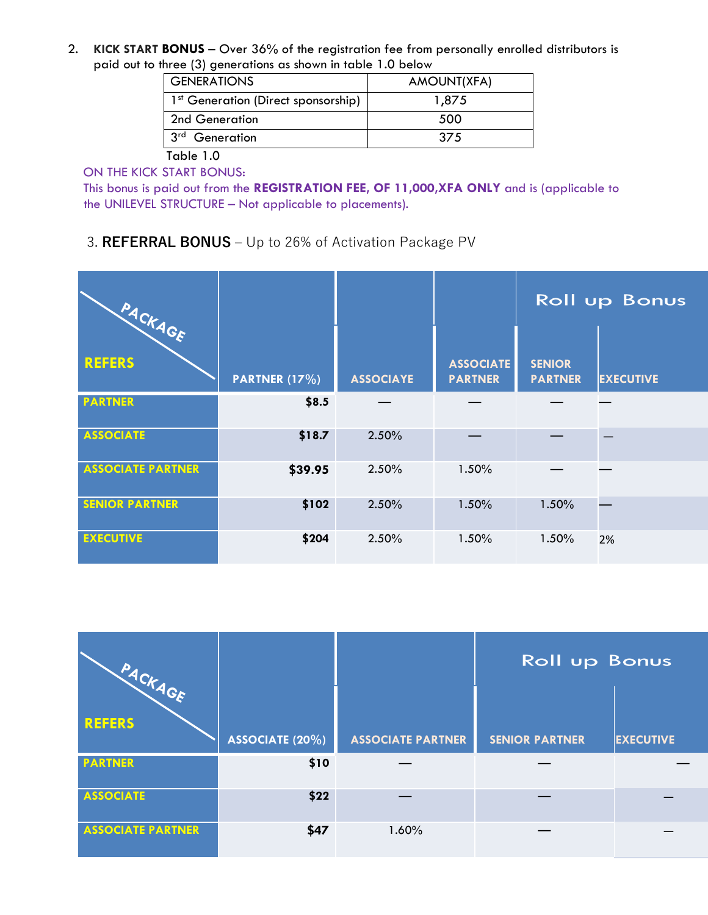2. **KICK START BONUS** – Over 36% of the registration fee from personally enrolled distributors is paid out to three (3) generations as shown in table 1.0 below

| <b>GENERATIONS</b>                              | AMOUNT(XFA) |
|-------------------------------------------------|-------------|
| 1 <sup>st</sup> Generation (Direct sponsorship) | 1,875       |
| 2nd Generation                                  | 500         |
| 3 <sup>rd</sup><br>Generation                   | 375         |
|                                                 |             |

Table 1.0

ON THE KICK START BONUS:

This bonus is paid out from the **REGISTRATION FEE, OF 11,000,XFA ONLY** and is (applicable to the UNILEVEL STRUCTURE – Not applicable to placements).

3. **REFERRAL BONUS** – Up to 26% of Activation Package PV

| PACKAGE                  |               |                  |                                    | <b>Roll up Bonus</b>            |                  |
|--------------------------|---------------|------------------|------------------------------------|---------------------------------|------------------|
| <b>REFERS</b>            | PARTNER (17%) | <b>ASSOCIAYE</b> | <b>ASSOCIATE</b><br><b>PARTNER</b> | <b>SENIOR</b><br><b>PARTNER</b> | <b>EXECUTIVE</b> |
| <b>PARTNER</b>           | \$8.5         |                  |                                    |                                 |                  |
| <b>ASSOCIATE</b>         | \$18.7        | 2.50%            |                                    |                                 |                  |
| <b>ASSOCIATE PARTNER</b> | \$39.95       | 2.50%            | 1.50%                              |                                 |                  |
| <b>SENIOR PARTNER</b>    | \$102         | 2.50%            | 1.50%                              | 1.50%                           |                  |
| <b>EXECUTIVE</b>         | \$204         | 2.50%            | 1.50%                              | 1.50%                           | 2%               |

| PACKAGE                  |                 |                          | <b>Roll up Bonus</b>  |                  |
|--------------------------|-----------------|--------------------------|-----------------------|------------------|
| <b>REFERS</b>            | ASSOCIATE (20%) | <b>ASSOCIATE PARTNER</b> | <b>SENIOR PARTNER</b> | <b>EXECUTIVE</b> |
| <b>PARTNER</b>           | \$10            |                          |                       |                  |
| <b>ASSOCIATE</b>         | \$22            |                          |                       |                  |
| <b>ASSOCIATE PARTNER</b> | \$47            | 1.60%                    |                       |                  |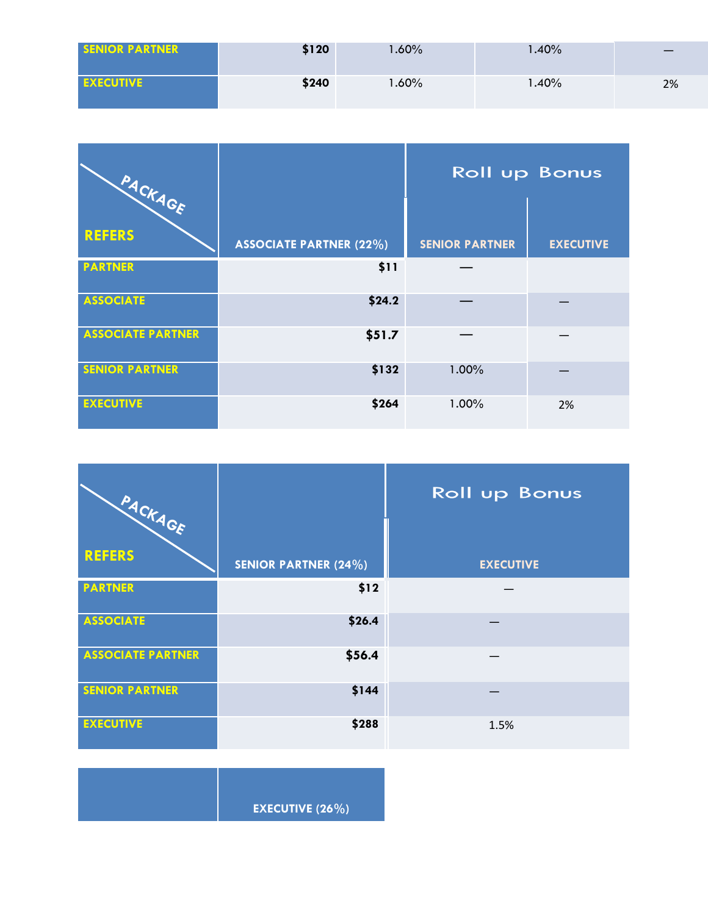| <b>SENIOR PARTNER</b> | \$120 | $1.60\%$ | $1.40\%$ |    |
|-----------------------|-------|----------|----------|----|
| <b>EXECUTIVE</b>      | \$240 | $1.60\%$ | 40%، ا   | 2% |

| PACKAGE                  |                                | <b>Roll up Bonus</b>  |                  |
|--------------------------|--------------------------------|-----------------------|------------------|
| <b>REFERS</b>            | <b>ASSOCIATE PARTNER (22%)</b> | <b>SENIOR PARTNER</b> | <b>EXECUTIVE</b> |
| <b>PARTNER</b>           | \$11                           |                       |                  |
| <b>ASSOCIATE</b>         | \$24.2                         |                       |                  |
| <b>ASSOCIATE PARTNER</b> | \$51.7                         |                       |                  |
| <b>SENIOR PARTNER</b>    | \$132                          | 1.00%                 |                  |
| <b>EXECUTIVE</b>         | \$264                          | 1.00%                 | 2%               |

| PACKAGE                  |                             | <b>Roll up Bonus</b> |
|--------------------------|-----------------------------|----------------------|
| <b>REFERS</b>            | <b>SENIOR PARTNER (24%)</b> | <b>EXECUTIVE</b>     |
| <b>PARTNER</b>           | \$12                        |                      |
| <b>ASSOCIATE</b>         | \$26.4                      |                      |
| <b>ASSOCIATE PARTNER</b> | \$56.4                      |                      |
| <b>SENIOR PARTNER</b>    | \$144                       |                      |
| <b>EXECUTIVE</b>         | \$288                       | 1.5%                 |

| <b>EXECUTIVE (26%)</b> |
|------------------------|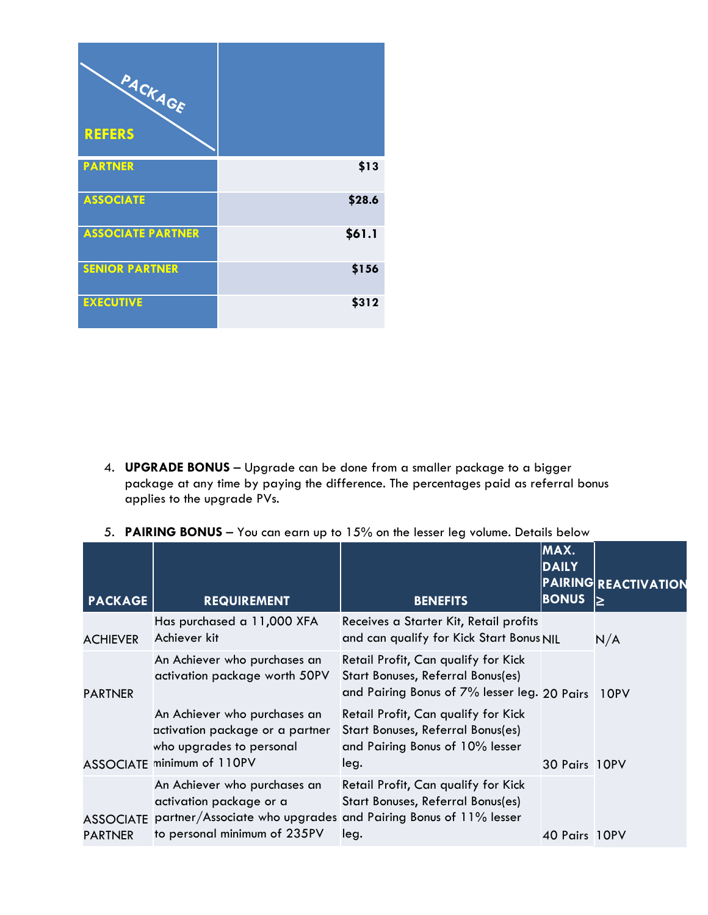| PACKAGE<br><b>REFERS</b> |        |
|--------------------------|--------|
| <b>PARTNER</b>           | \$13   |
|                          |        |
| <b>ASSOCIATE</b>         | \$28.6 |
| <b>ASSOCIATE PARTNER</b> | \$61.1 |
| <b>SENIOR PARTNER</b>    | \$156  |
| <b>EXECUTIVE</b>         | \$312  |

- 4. **UPGRADE BONUS** Upgrade can be done from a smaller package to a bigger package at any time by paying the difference. The percentages paid as referral bonus applies to the upgrade PVs.
- 5. **PAIRING BONUS** You can earn up to 15% on the lesser leg volume. Details below

| <b>PACKAGE</b>                     | <b>REQUIREMENT</b>                                                                                                                                        | <b>BENEFITS</b>                                                                                                               | MAX.<br><b>DAILY</b><br><b>BONUS</b> | <b>PAIRING REACTIVATION</b><br>ا≤ا |
|------------------------------------|-----------------------------------------------------------------------------------------------------------------------------------------------------------|-------------------------------------------------------------------------------------------------------------------------------|--------------------------------------|------------------------------------|
| <b>ACHIEVER</b>                    | Has purchased a 11,000 XFA<br>Achiever kit                                                                                                                | Receives a Starter Kit, Retail profits<br>and can qualify for Kick Start Bonus NIL                                            |                                      | N/A                                |
| <b>PARTNER</b>                     | An Achiever who purchases an<br>activation package worth 50PV                                                                                             | Retail Profit, Can qualify for Kick<br>Start Bonuses, Referral Bonus(es)<br>and Pairing Bonus of 7% lesser leg. 20 Pairs 10PV |                                      |                                    |
|                                    | An Achiever who purchases an<br>activation package or a partner<br>who upgrades to personal<br>ASSOCIATE minimum of 110PV                                 | Retail Profit, Can qualify for Kick<br>Start Bonuses, Referral Bonus(es)<br>and Pairing Bonus of 10% lesser<br>leg.           | 30 Pairs 10PV                        |                                    |
| <b>ASSOCIATE</b><br><b>PARTNER</b> | An Achiever who purchases an<br>activation package or a<br>partner/Associate who upgrades and Pairing Bonus of 11% lesser<br>to personal minimum of 235PV | Retail Profit, Can qualify for Kick<br>Start Bonuses, Referral Bonus(es)<br>leg.                                              | 40 Pairs 10PV                        |                                    |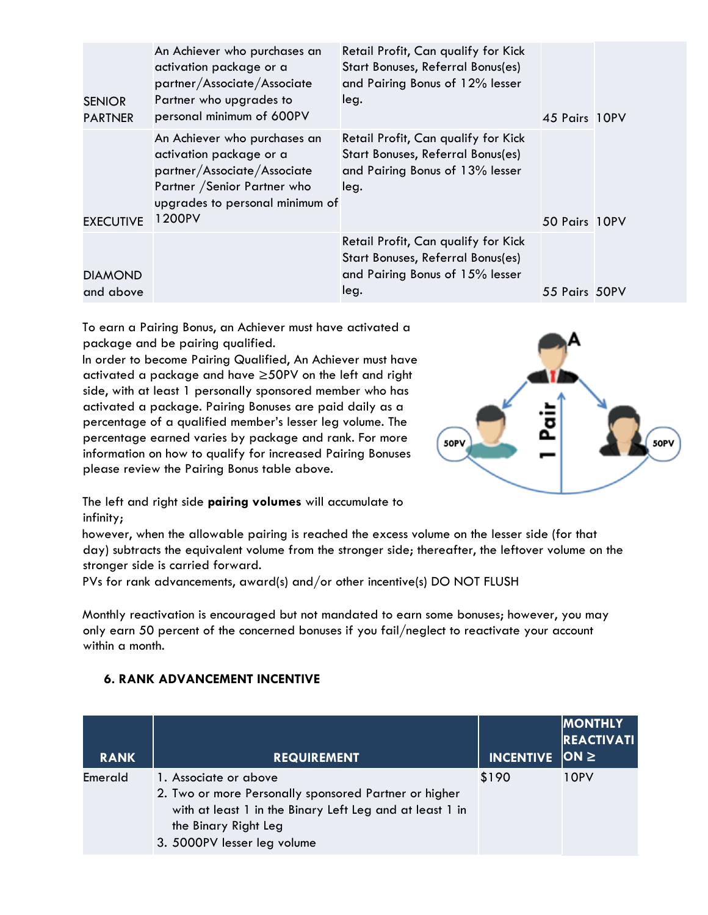| <b>SENIOR</b><br><b>PARTNER</b> | An Achiever who purchases an<br>activation package or a<br>partner/Associate/Associate<br>Partner who upgrades to<br>personal minimum of 600PV                      | Retail Profit, Can qualify for Kick<br>Start Bonuses, Referral Bonus(es)<br>and Pairing Bonus of 12% lesser<br>leg. | 45 Pairs 10PV |  |
|---------------------------------|---------------------------------------------------------------------------------------------------------------------------------------------------------------------|---------------------------------------------------------------------------------------------------------------------|---------------|--|
| <b>EXECUTIVE</b>                | An Achiever who purchases an<br>activation package or a<br>partner/Associate/Associate<br>Partner / Senior Partner who<br>upgrades to personal minimum of<br>1200PV | Retail Profit, Can qualify for Kick<br>Start Bonuses, Referral Bonus(es)<br>and Pairing Bonus of 13% lesser<br>leg. | 50 Pairs 10PV |  |
| <b>DIAMOND</b><br>and above     |                                                                                                                                                                     | Retail Profit, Can qualify for Kick<br>Start Bonuses, Referral Bonus(es)<br>and Pairing Bonus of 15% lesser<br>leg. | 55 Pairs 50PV |  |

To earn a Pairing Bonus, an Achiever must have activated a package and be pairing qualified.

In order to become Pairing Qualified, An Achiever must have activated a package and have ≥50PV on the left and right side, with at least 1 personally sponsored member who has activated a package. Pairing Bonuses are paid daily as a percentage of a qualified member's lesser leg volume. The percentage earned varies by package and rank. For more information on how to qualify for increased Pairing Bonuses please review the Pairing Bonus table above.



The left and right side **pairing volumes** will accumulate to infinity;

however, when the allowable pairing is reached the excess volume on the lesser side (for that day) subtracts the equivalent volume from the stronger side; thereafter, the leftover volume on the stronger side is carried forward.

PVs for rank advancements, award(s) and/or other incentive(s) DO NOT FLUSH

Monthly reactivation is encouraged but not mandated to earn some bonuses; however, you may only earn 50 percent of the concerned bonuses if you fail/neglect to reactivate your account within a month.

| <b>RANK</b> | <b>REQUIREMENT</b>                                                                                                                                                                                | <b>INCENTIVE</b> | <b>MONTHLY</b><br><b>REACTIVATI</b><br>$ ON \ge$ |
|-------------|---------------------------------------------------------------------------------------------------------------------------------------------------------------------------------------------------|------------------|--------------------------------------------------|
| Emerald     | 1. Associate or above<br>2. Two or more Personally sponsored Partner or higher<br>with at least 1 in the Binary Left Leg and at least 1 in<br>the Binary Right Leg<br>3. 5000PV lesser leg volume | \$190            | 10PV                                             |

## **6. RANK ADVANCEMENT INCENTIVE**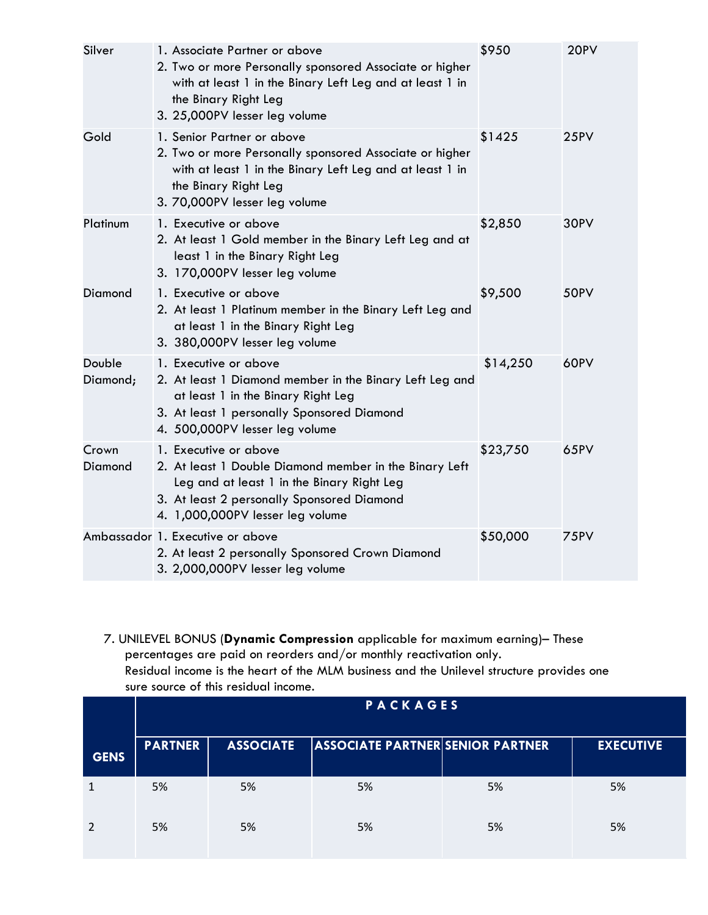| Silver             | 1. Associate Partner or above<br>2. Two or more Personally sponsored Associate or higher<br>with at least 1 in the Binary Left Leg and at least 1 in<br>the Binary Right Leg<br>3. 25,000PV lesser leg volume   | \$950    | 20PV |
|--------------------|-----------------------------------------------------------------------------------------------------------------------------------------------------------------------------------------------------------------|----------|------|
| Gold               | 1. Senior Partner or above<br>2. Two or more Personally sponsored Associate or higher<br>with at least 1 in the Binary Left Leg and at least 1 in<br>the Binary Right Leg<br>3. 70,000PV lesser leg volume      | \$1425   | 25PV |
| Platinum           | 1. Executive or above<br>2. At least 1 Gold member in the Binary Left Leg and at<br>least 1 in the Binary Right Leg<br>3. 170,000PV lesser leg volume                                                           | \$2,850  | 30PV |
| Diamond            | 1. Executive or above<br>2. At least 1 Platinum member in the Binary Left Leg and<br>at least 1 in the Binary Right Leg<br>3. 380,000PV lesser leg volume                                                       | \$9,500  | 50PV |
| Double<br>Diamond; | 1. Executive or above<br>2. At least 1 Diamond member in the Binary Left Leg and<br>at least 1 in the Binary Right Leg<br>3. At least 1 personally Sponsored Diamond<br>4. 500,000PV lesser leg volume          | \$14,250 | 60PV |
| Crown<br>Diamond   | 1. Executive or above<br>2. At least 1 Double Diamond member in the Binary Left<br>Leg and at least 1 in the Binary Right Leg<br>3. At least 2 personally Sponsored Diamond<br>4. 1,000,000PV lesser leg volume | \$23,750 | 65PV |
|                    | Ambassador 1. Executive or above<br>2. At least 2 personally Sponsored Crown Diamond<br>3. 2,000,000PV lesser leg volume                                                                                        | \$50,000 | 75PV |

7. UNILEVEL BONUS (**Dynamic Compression** applicable for maximum earning)– These percentages are paid on reorders and/or monthly reactivation only. Residual income is the heart of the MLM business and the Unilevel structure provides one sure source of this residual income.

|             | <b>PACKAGES</b> |                  |                                         |    |                  |
|-------------|-----------------|------------------|-----------------------------------------|----|------------------|
| <b>GENS</b> | <b>PARTNER</b>  | <b>ASSOCIATE</b> | <b>ASSOCIATE PARTNER SENIOR PARTNER</b> |    | <b>EXECUTIVE</b> |
|             | 5%              | 5%               | 5%                                      | 5% | 5%               |
|             | 5%              | 5%               | 5%                                      | 5% | 5%               |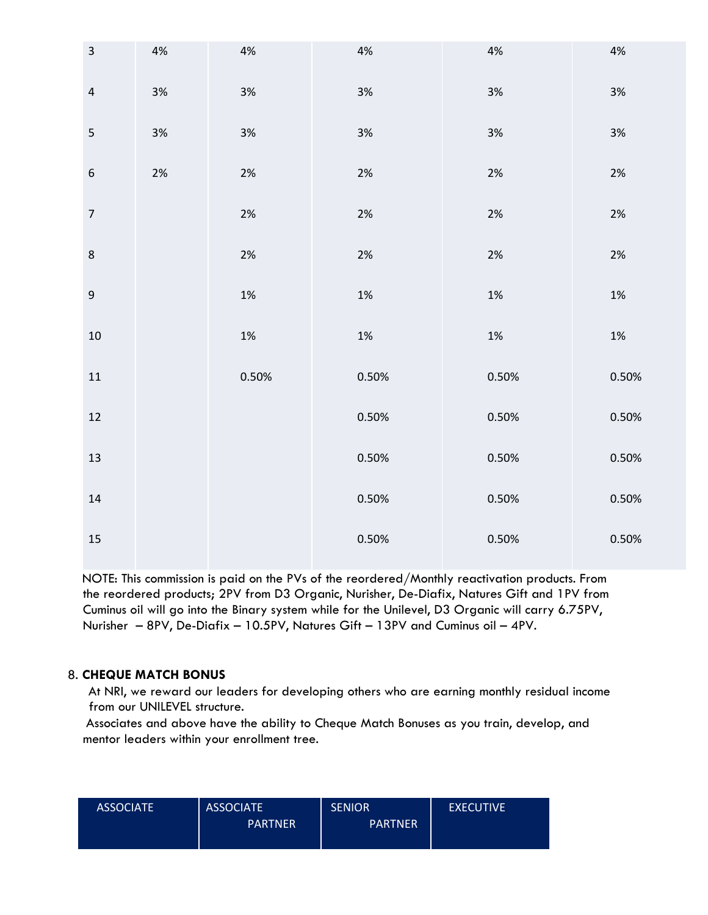| $\mathsf 3$      | $4%$ | $4%$  | $4%$  | $4%$  | $4\%$ |
|------------------|------|-------|-------|-------|-------|
| $\sqrt{4}$       | 3%   | $3\%$ | 3%    | $3\%$ | $3%$  |
| 5                | $3%$ | $3%$  | $3%$  | $3%$  | $3%$  |
| $\boldsymbol{6}$ | 2%   | $2\%$ | 2%    | $2\%$ | 2%    |
| $\boldsymbol{7}$ |      | $2\%$ | $2\%$ | $2\%$ | $2\%$ |
| $\bf 8$          |      | 2%    | $2\%$ | $2\%$ | 2%    |
| $\boldsymbol{9}$ |      | $1\%$ | $1\%$ | $1\%$ | 1%    |
| $10\,$           |      | $1\%$ | $1\%$ | $1\%$ | $1\%$ |
| $11\,$           |      | 0.50% | 0.50% | 0.50% | 0.50% |
| $12\,$           |      |       | 0.50% | 0.50% | 0.50% |
| $13\,$           |      |       | 0.50% | 0.50% | 0.50% |
| $14\,$           |      |       | 0.50% | 0.50% | 0.50% |
| $15\,$           |      |       | 0.50% | 0.50% | 0.50% |

NOTE: This commission is paid on the PVs of the reordered/Monthly reactivation products. From the reordered products; 2PV from D3 Organic, Nurisher, De-Diafix, Natures Gift and 1PV from Cuminus oil will go into the Binary system while for the Unilevel, D3 Organic will carry 6.75PV, Nurisher – 8PV, De-Diafix – 10.5PV, Natures Gift – 13PV and Cuminus oil – 4PV.

## 8. **CHEQUE MATCH BONUS**

At NRI, we reward our leaders for developing others who are earning monthly residual income from our UNILEVEL structure.

 Associates and above have the ability to Cheque Match Bonuses as you train, develop, and mentor leaders within your enrollment tree.

| <b>ASSOCIATE</b> | <b>ASSOCIATE</b> | <b>SENIOR</b>  | <b>EXECUTIVE</b> |
|------------------|------------------|----------------|------------------|
|                  | <b>PARTNER</b>   | <b>PARTNER</b> |                  |
|                  |                  |                |                  |